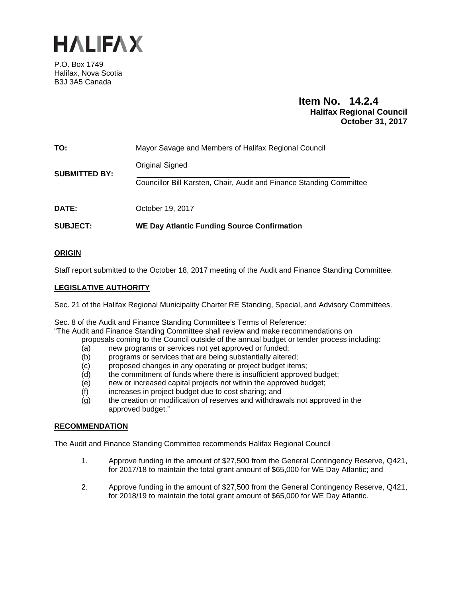

P.O. Box 1749 Halifax, Nova Scotia B3J 3A5 Canada

# **Item No. 14.2.4 Halifax Regional Council October 31, 2017**

| <b>SUBJECT:</b>      | <b>WE Day Atlantic Funding Source Confirmation</b>                                             |  |  |
|----------------------|------------------------------------------------------------------------------------------------|--|--|
| <b>DATE:</b>         | October 19, 2017                                                                               |  |  |
| <b>SUBMITTED BY:</b> | <b>Original Signed</b><br>Councillor Bill Karsten, Chair, Audit and Finance Standing Committee |  |  |
| TO:                  | Mayor Savage and Members of Halifax Regional Council                                           |  |  |

### **ORIGIN**

Staff report submitted to the October 18, 2017 meeting of the Audit and Finance Standing Committee.

### **LEGISLATIVE AUTHORITY**

Sec. 21 of the Halifax Regional Municipality Charter RE Standing, Special, and Advisory Committees.

Sec. 8 of the Audit and Finance Standing Committee's Terms of Reference:

"The Audit and Finance Standing Committee shall review and make recommendations on

- proposals coming to the Council outside of the annual budget or tender process including:
- (a) new programs or services not yet approved or funded;
- (b) programs or services that are being substantially altered;
- $(c)$  proposed changes in any operating or project budget items;
- (d) the commitment of funds where there is insufficient approved budget;
- $(e)$  new or increased capital projects not within the approved budget;
- (f) increases in project budget due to cost sharing; and
- (g) the creation or modification of reserves and withdrawals not approved in the approved budget."

### **RECOMMENDATION**

The Audit and Finance Standing Committee recommends Halifax Regional Council

- 1. Approve funding in the amount of \$27,500 from the General Contingency Reserve, Q421, for 2017/18 to maintain the total grant amount of \$65,000 for WE Day Atlantic; and
- 2. Approve funding in the amount of \$27,500 from the General Contingency Reserve, Q421, for 2018/19 to maintain the total grant amount of \$65,000 for WE Day Atlantic.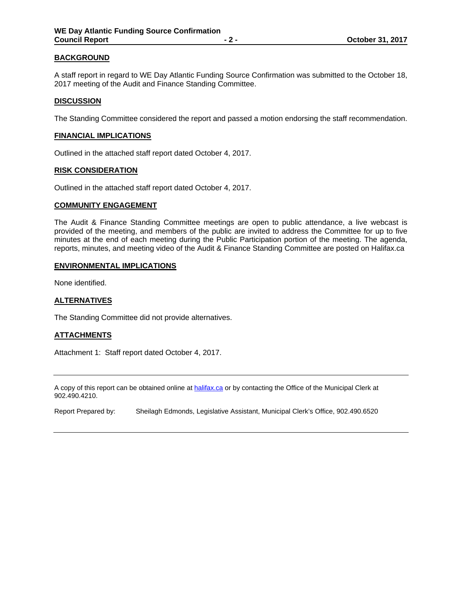### **BACKGROUND**

A staff report in regard to WE Day Atlantic Funding Source Confirmation was submitted to the October 18, 2017 meeting of the Audit and Finance Standing Committee.

### **DISCUSSION**

The Standing Committee considered the report and passed a motion endorsing the staff recommendation.

#### **FINANCIAL IMPLICATIONS**

Outlined in the attached staff report dated October 4, 2017.

### **RISK CONSIDERATION**

Outlined in the attached staff report dated October 4, 2017.

#### **COMMUNITY ENGAGEMENT**

The Audit & Finance Standing Committee meetings are open to public attendance, a live webcast is provided of the meeting, and members of the public are invited to address the Committee for up to five minutes at the end of each meeting during the Public Participation portion of the meeting. The agenda, reports, minutes, and meeting video of the Audit & Finance Standing Committee are posted on Halifax.ca

#### **ENVIRONMENTAL IMPLICATIONS**

None identified.

### **ALTERNATIVES**

The Standing Committee did not provide alternatives.

### **ATTACHMENTS**

Attachment 1: Staff report dated October 4, 2017.

A copy of this report can be obtained online at halifax.ca or by contacting the Office of the Municipal Clerk at 902.490.4210.

Report Prepared by: Sheilagh Edmonds, Legislative Assistant, Municipal Clerk's Office, 902.490.6520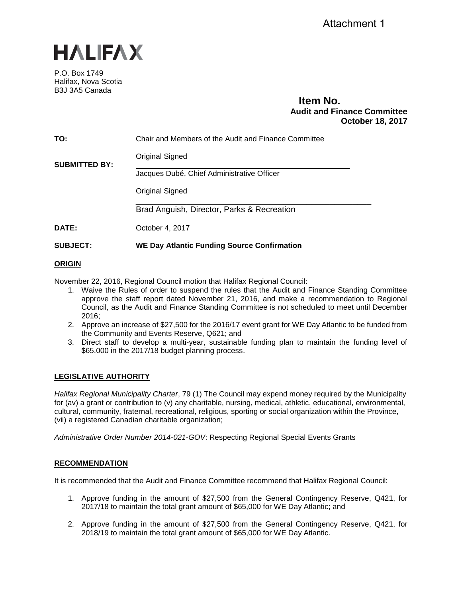

P.O. Box 1749 Halifax, Nova Scotia B3J 3A5 Canada

## **Item No. Audit and Finance Committee October 18, 2017**

| <b>SUBJECT:</b>      | <b>WE Day Atlantic Funding Source Confirmation</b>   |  |  |
|----------------------|------------------------------------------------------|--|--|
| <b>DATE:</b>         | October 4, 2017                                      |  |  |
|                      | Brad Anguish, Director, Parks & Recreation           |  |  |
|                      | Original Signed                                      |  |  |
|                      | Jacques Dubé, Chief Administrative Officer           |  |  |
| <b>SUBMITTED BY:</b> | <b>Original Signed</b>                               |  |  |
| TO:                  | Chair and Members of the Audit and Finance Committee |  |  |
|                      |                                                      |  |  |

## **ORIGIN**

November 22, 2016, Regional Council motion that Halifax Regional Council:

- 1. Waive the Rules of order to suspend the rules that the Audit and Finance Standing Committee approve the staff report dated November 21, 2016, and make a recommendation to Regional Council, as the Audit and Finance Standing Committee is not scheduled to meet until December 2016;
- 2. Approve an increase of \$27,500 for the 2016/17 event grant for WE Day Atlantic to be funded from the Community and Events Reserve, Q621; and
- 3. Direct staff to develop a multi-year, sustainable funding plan to maintain the funding level of \$65,000 in the 2017/18 budget planning process.

## **LEGISLATIVE AUTHORITY**

*Halifax Regional Municipality Charter*, 79 (1) The Council may expend money required by the Municipality for (av) a grant or contribution to (v) any charitable, nursing, medical, athletic, educational, environmental, cultural, community, fraternal, recreational, religious, sporting or social organization within the Province, (vii) a registered Canadian charitable organization;

*Administrative Order Number 2014-021-GOV*: Respecting Regional Special Events Grants

### **RECOMMENDATION**

It is recommended that the Audit and Finance Committee recommend that Halifax Regional Council:

- 1. Approve funding in the amount of \$27,500 from the General Contingency Reserve, Q421, for 2017/18 to maintain the total grant amount of \$65,000 for WE Day Atlantic; and
- 2. Approve funding in the amount of \$27,500 from the General Contingency Reserve, Q421, for 2018/19 to maintain the total grant amount of \$65,000 for WE Day Atlantic.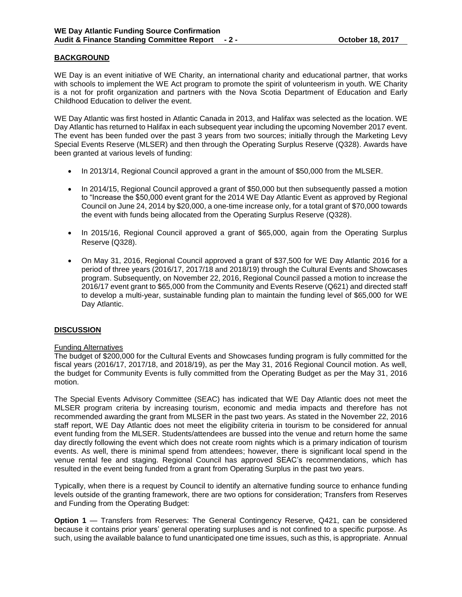### **BACKGROUND**

WE Day is an event initiative of WE Charity, an international charity and educational partner, that works with schools to implement the WE Act program to promote the spirit of volunteerism in youth. WE Charity is a not for profit organization and partners with the Nova Scotia Department of Education and Early Childhood Education to deliver the event.

WE Day Atlantic was first hosted in Atlantic Canada in 2013, and Halifax was selected as the location. WE Day Atlantic has returned to Halifax in each subsequent year including the upcoming November 2017 event. The event has been funded over the past 3 years from two sources; initially through the Marketing Levy Special Events Reserve (MLSER) and then through the Operating Surplus Reserve (Q328). Awards have been granted at various levels of funding:

- In 2013/14, Regional Council approved a grant in the amount of \$50,000 from the MLSER.
- In 2014/15, Regional Council approved a grant of \$50,000 but then subsequently passed a motion to "Increase the \$50,000 event grant for the 2014 WE Day Atlantic Event as approved by Regional Council on June 24, 2014 by \$20,000, a one-time increase only, for a total grant of \$70,000 towards the event with funds being allocated from the Operating Surplus Reserve (Q328).
- In 2015/16, Regional Council approved a grant of \$65,000, again from the Operating Surplus Reserve (Q328).
- On May 31, 2016, Regional Council approved a grant of \$37,500 for WE Day Atlantic 2016 for a period of three years (2016/17, 2017/18 and 2018/19) through the Cultural Events and Showcases program. Subsequently, on November 22, 2016, Regional Council passed a motion to increase the 2016/17 event grant to \$65,000 from the Community and Events Reserve (Q621) and directed staff to develop a multi-year, sustainable funding plan to maintain the funding level of \$65,000 for WE Day Atlantic.

### **DISCUSSION**

### Funding Alternatives

The budget of \$200,000 for the Cultural Events and Showcases funding program is fully committed for the fiscal years (2016/17, 2017/18, and 2018/19), as per the May 31, 2016 Regional Council motion. As well, the budget for Community Events is fully committed from the Operating Budget as per the May 31, 2016 motion.

The Special Events Advisory Committee (SEAC) has indicated that WE Day Atlantic does not meet the MLSER program criteria by increasing tourism, economic and media impacts and therefore has not recommended awarding the grant from MLSER in the past two years. As stated in the November 22, 2016 staff report, WE Day Atlantic does not meet the eligibility criteria in tourism to be considered for annual event funding from the MLSER. Students/attendees are bussed into the venue and return home the same day directly following the event which does not create room nights which is a primary indication of tourism events. As well, there is minimal spend from attendees; however, there is significant local spend in the venue rental fee and staging. Regional Council has approved SEAC's recommendations, which has resulted in the event being funded from a grant from Operating Surplus in the past two years.

Typically, when there is a request by Council to identify an alternative funding source to enhance funding levels outside of the granting framework, there are two options for consideration; Transfers from Reserves and Funding from the Operating Budget:

**Option 1** — Transfers from Reserves: The General Contingency Reserve, Q421, can be considered because it contains prior years' general operating surpluses and is not confined to a specific purpose. As such, using the available balance to fund unanticipated one time issues, such as this, is appropriate. Annual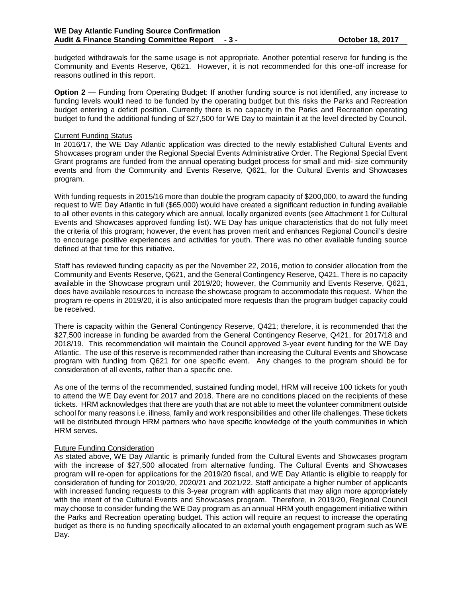budgeted withdrawals for the same usage is not appropriate. Another potential reserve for funding is the Community and Events Reserve, Q621. However, it is not recommended for this one-off increase for reasons outlined in this report.

**Option 2** — Funding from Operating Budget: If another funding source is not identified, any increase to funding levels would need to be funded by the operating budget but this risks the Parks and Recreation budget entering a deficit position. Currently there is no capacity in the Parks and Recreation operating budget to fund the additional funding of \$27,500 for WE Day to maintain it at the level directed by Council.

#### Current Funding Status

In 2016/17, the WE Day Atlantic application was directed to the newly established Cultural Events and Showcases program under the Regional Special Events Administrative Order. The Regional Special Event Grant programs are funded from the annual operating budget process for small and mid- size community events and from the Community and Events Reserve, Q621, for the Cultural Events and Showcases program.

With funding requests in 2015/16 more than double the program capacity of \$200,000, to award the funding request to WE Day Atlantic in full (\$65,000) would have created a significant reduction in funding available to all other events in this category which are annual, locally organized events (see Attachment 1 for Cultural Events and Showcases approved funding list). WE Day has unique characteristics that do not fully meet the criteria of this program; however, the event has proven merit and enhances Regional Council's desire to encourage positive experiences and activities for youth. There was no other available funding source defined at that time for this initiative.

Staff has reviewed funding capacity as per the November 22, 2016, motion to consider allocation from the Community and Events Reserve, Q621, and the General Contingency Reserve, Q421. There is no capacity available in the Showcase program until 2019/20; however, the Community and Events Reserve, Q621, does have available resources to increase the showcase program to accommodate this request. When the program re-opens in 2019/20, it is also anticipated more requests than the program budget capacity could be received.

There is capacity within the General Contingency Reserve, Q421; therefore, it is recommended that the \$27,500 increase in funding be awarded from the General Contingency Reserve, Q421, for 2017/18 and 2018/19. This recommendation will maintain the Council approved 3-year event funding for the WE Day Atlantic. The use of this reserve is recommended rather than increasing the Cultural Events and Showcase program with funding from Q621 for one specific event. Any changes to the program should be for consideration of all events, rather than a specific one.

As one of the terms of the recommended, sustained funding model, HRM will receive 100 tickets for youth to attend the WE Day event for 2017 and 2018. There are no conditions placed on the recipients of these tickets. HRM acknowledges that there are youth that are not able to meet the volunteer commitment outside school for many reasons i.e. illness, family and work responsibilities and other life challenges. These tickets will be distributed through HRM partners who have specific knowledge of the youth communities in which HRM serves.

### Future Funding Consideration

As stated above, WE Day Atlantic is primarily funded from the Cultural Events and Showcases program with the increase of \$27,500 allocated from alternative funding. The Cultural Events and Showcases program will re-open for applications for the 2019/20 fiscal, and WE Day Atlantic is eligible to reapply for consideration of funding for 2019/20, 2020/21 and 2021/22. Staff anticipate a higher number of applicants with increased funding requests to this 3-year program with applicants that may align more appropriately with the intent of the Cultural Events and Showcases program. Therefore, in 2019/20, Regional Council may choose to consider funding the WE Day program as an annual HRM youth engagement initiative within the Parks and Recreation operating budget. This action will require an request to increase the operating budget as there is no funding specifically allocated to an external youth engagement program such as WE Day.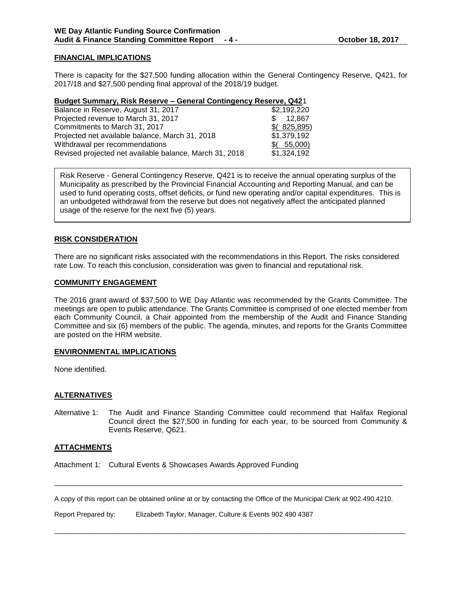### **FINANCIAL IMPLICATIONS**

There is capacity for the \$27,500 funding allocation within the General Contingency Reserve, Q421, for 2017/18 and \$27,500 pending final approval of the 2018/19 budget.

#### **Budget Summary, Risk Reserve – General Contingency Reserve, Q42**1

| Balance in Reserve, August 31, 2017                     | \$2,192,220 |
|---------------------------------------------------------|-------------|
| Projected revenue to March 31, 2017                     | 12.867      |
| Commitments to March 31, 2017                           | \$(825,895) |
| Projected net available balance, March 31, 2018         | \$1,379,192 |
| Withdrawal per recommendations                          | (55,000)    |
| Revised projected net available balance, March 31, 2018 | \$1,324,192 |

Risk Reserve - General Contingency Reserve, Q421 is to receive the annual operating surplus of the Municipality as prescribed by the Provincial Financial Accounting and Reporting Manual, and can be used to fund operating costs, offset deficits, or fund new operating and/or capital expenditures. This is an unbudgeted withdrawal from the reserve but does not negatively affect the anticipated planned usage of the reserve for the next five (5) years.

### **RISK CONSIDERATION**

There are no significant risks associated with the recommendations in this Report. The risks considered rate Low. To reach this conclusion, consideration was given to financial and reputational risk.

### **COMMUNITY ENGAGEMENT**

The 2016 grant award of \$37,500 to WE Day Atlantic was recommended by the Grants Committee. The meetings are open to public attendance. The Grants Committee is comprised of one elected member from each Community Council, a Chair appointed from the membership of the Audit and Finance Standing Committee and six (6) members of the public. The agenda, minutes, and reports for the Grants Committee are posted on the HRM website.

### **ENVIRONMENTAL IMPLICATIONS**

None identified.

### **ALTERNATIVES**

Alternative 1: The Audit and Finance Standing Committee could recommend that Halifax Regional Council direct the \$27,500 in funding for each year, to be sourced from Community & Events Reserve, Q621.

### **ATTACHMENTS**

Attachment 1: Cultural Events & Showcases Awards Approved Funding

A copy of this report can be obtained online at or by contacting the Office of the Municipal Clerk at 902.490.4210.

\_\_\_\_\_\_\_\_\_\_\_\_\_\_\_\_\_\_\_\_\_\_\_\_\_\_\_\_\_\_\_\_\_\_\_\_\_\_\_\_\_\_\_\_\_\_\_\_\_\_\_\_\_\_\_\_\_\_\_\_\_\_\_\_\_\_\_\_\_\_\_\_\_\_\_\_\_\_\_\_\_\_\_

 $\overline{a}$  , and the state of the state of the state of the state of the state of the state of the state of the state of the state of the state of the state of the state of the state of the state of the state of the state o

Report Prepared by: Elizabeth Taylor, Manager, Culture & Events 902 490 4387